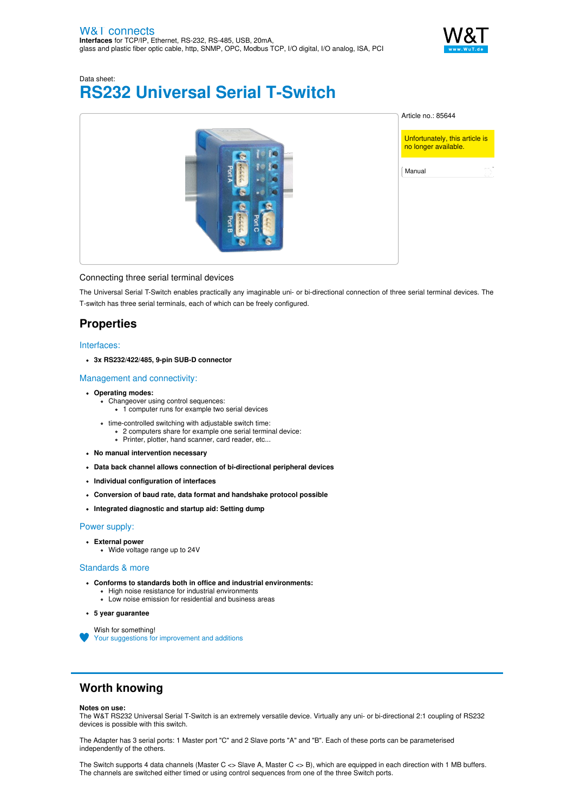

# Data sheet: **RS232 Universal Serial T-Switch**



### Connecting three serial terminal devices

The Universal Serial T-Switch enables practically any imaginable uni- or bi-directional connection of three serial terminal devices. The T-switch has three serial terminals, each of which can be freely configured.

# **Properties**

### Interfaces:

**3x RS232/422/485, 9-pin SUB-D connector**

### Management and connectivity:

- **Operating modes:**
	- .<br>• Changeover using control sequences:
		- 1 computer runs for example two serial devices
	- time-controlled switching with adjustable switch time:
		- 2 computers share for example one serial terminal device: Printer, plotter, hand scanner, card reader, etc...
- **No manual intervention necessary**
- **Data back channel allows connection of bi-directional peripheral devices**
- **Individual configuration of interfaces**
- **Conversion of baud rate, data format and handshake protocol possible**
- **Integrated diagnostic and startup aid: Setting dump**

### Power supply:

- **External power**
	- Wide voltage range up to 24V

#### Standards & more

- **Conforms to standards both in office and industrial environments:**
	- High noise resistance for industrial environments
	- Low noise emission for residential and business areas
- **5 year guarantee**
	- Wish for something! Your suggestions for [improvement](https://www.wut.de/e-wwwww-ws-orus-000.php?ArticleNr=85644) and additions

## **Worth knowing**

#### **Notes on use:**

The W&T RS232 Universal Serial T-Switch is an extremely versatile device. Virtually any uni- or bi-directional 2:1 coupling of RS232 devices is possible with this switch.

The Adapter has 3 serial ports: 1 Master port "C" and 2 Slave ports "A" and "B". Each of these ports can be parameterised independently of the others.

The Switch supports 4 data channels (Master C <> Slave A, Master C <> B), which are equipped in each direction with 1 MB buffers. The channels are switched either timed or using control sequences from one of the three Switch ports.